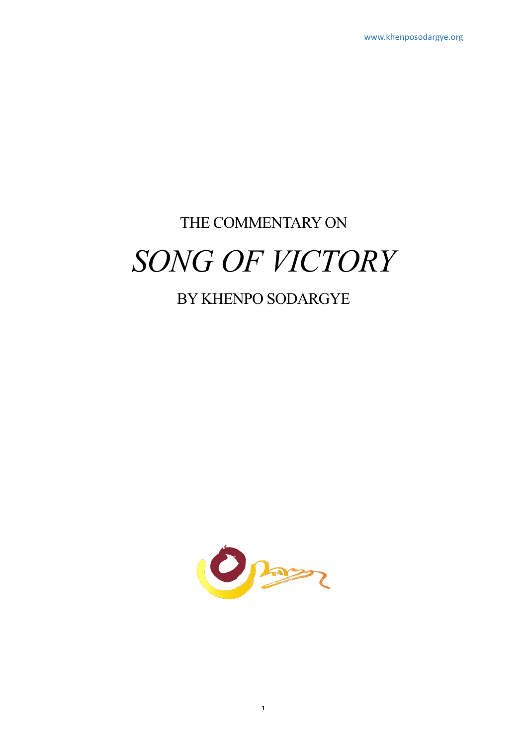# THE COMMENTARY ON *SONG OF VICTORY*

# BY KHENPO SODARGYE

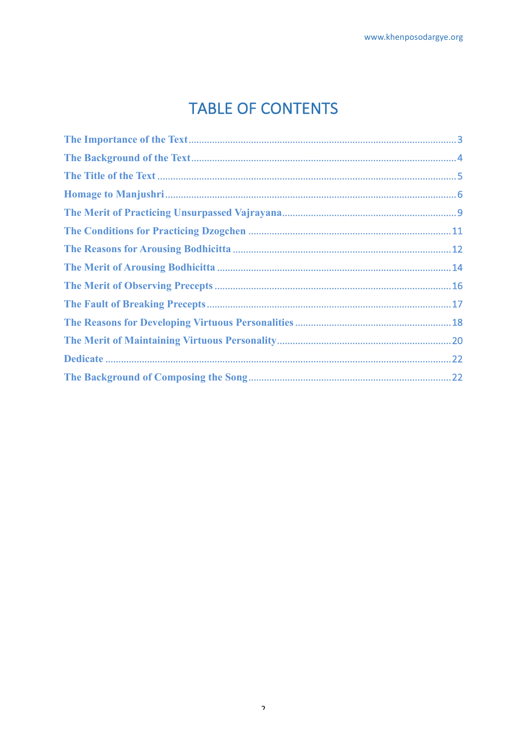# **TABLE OF CONTENTS**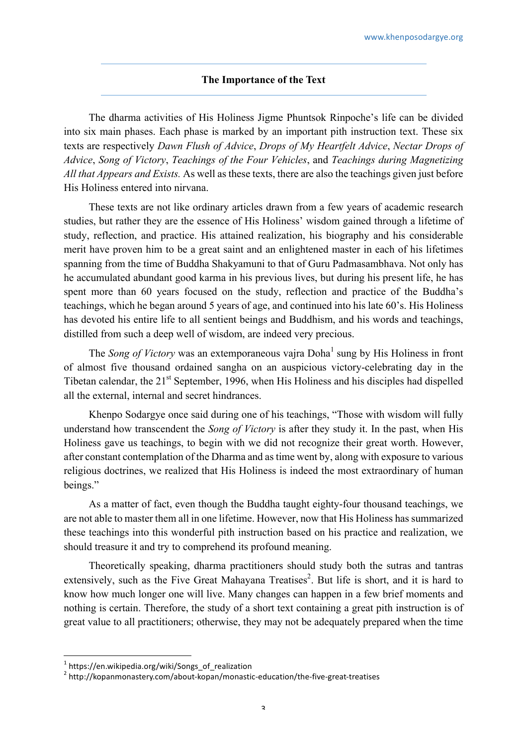# **The Importance of the Text**

The dharma activities of His Holiness Jigme Phuntsok Rinpoche's life can be divided into six main phases. Each phase is marked by an important pith instruction text. These six texts are respectively *Dawn Flush of Advice*, *Drops of My Heartfelt Advice*, *Nectar Drops of Advice*, *Song of Victory*, *Teachings of the Four Vehicles*, and *Teachings during Magnetizing All that Appears and Exists.* As well as these texts, there are also the teachings given just before His Holiness entered into nirvana.

These texts are not like ordinary articles drawn from a few years of academic research studies, but rather they are the essence of His Holiness' wisdom gained through a lifetime of study, reflection, and practice. His attained realization, his biography and his considerable merit have proven him to be a great saint and an enlightened master in each of his lifetimes spanning from the time of Buddha Shakyamuni to that of Guru Padmasambhava. Not only has he accumulated abundant good karma in his previous lives, but during his present life, he has spent more than 60 years focused on the study, reflection and practice of the Buddha's teachings, which he began around 5 years of age, and continued into his late 60's. His Holiness has devoted his entire life to all sentient beings and Buddhism, and his words and teachings, distilled from such a deep well of wisdom, are indeed very precious.

The *Song of Victory* was an extemporaneous vaira Doha<sup>1</sup> sung by His Holiness in front of almost five thousand ordained sangha on an auspicious victory-celebrating day in the Tibetan calendar, the 21<sup>st</sup> September, 1996, when His Holiness and his disciples had dispelled all the external, internal and secret hindrances.

Khenpo Sodargye once said during one of his teachings, "Those with wisdom will fully understand how transcendent the *Song of Victory* is after they study it. In the past, when His Holiness gave us teachings, to begin with we did not recognize their great worth. However, after constant contemplation of the Dharma and as time went by, along with exposure to various religious doctrines, we realized that His Holiness is indeed the most extraordinary of human beings."

As a matter of fact, even though the Buddha taught eighty-four thousand teachings, we are not able to master them all in one lifetime. However, now that His Holiness has summarized these teachings into this wonderful pith instruction based on his practice and realization, we should treasure it and try to comprehend its profound meaning.

Theoretically speaking, dharma practitioners should study both the sutras and tantras extensively, such as the Five Great Mahayana Treatises<sup>2</sup>. But life is short, and it is hard to know how much longer one will live. Many changes can happen in a few brief moments and nothing is certain. Therefore, the study of a short text containing a great pith instruction is of great value to all practitioners; otherwise, they may not be adequately prepared when the time

 $^1$  https://en.wikipedia.org/wiki/Songs\_of\_realization

<sup>2</sup> http://kopanmonastery.com/about-kopan/monastic-education/the-five-great-treatises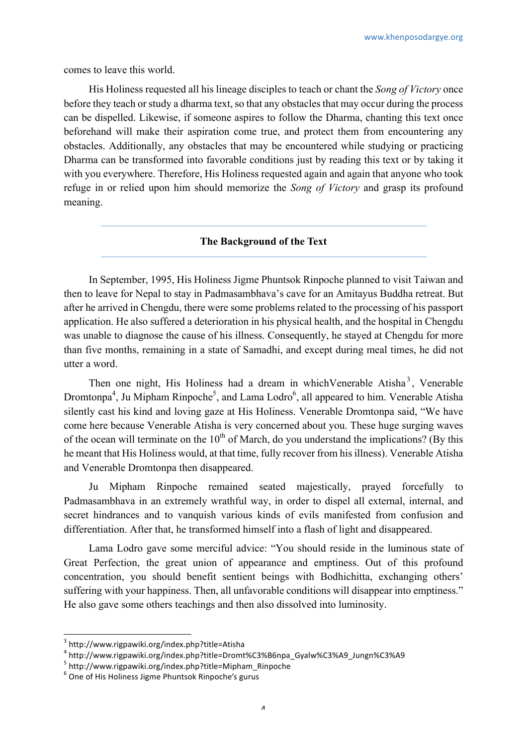comes to leave this world.

His Holiness requested all his lineage disciples to teach or chant the *Song of Victory* once before they teach or study a dharma text, so that any obstacles that may occur during the process can be dispelled. Likewise, if someone aspires to follow the Dharma, chanting this text once beforehand will make their aspiration come true, and protect them from encountering any obstacles. Additionally, any obstacles that may be encountered while studying or practicing Dharma can be transformed into favorable conditions just by reading this text or by taking it with you everywhere. Therefore, His Holiness requested again and again that anyone who took refuge in or relied upon him should memorize the *Song of Victory* and grasp its profound meaning.

# **The Background of the Text**

In September, 1995, His Holiness Jigme Phuntsok Rinpoche planned to visit Taiwan and then to leave for Nepal to stay in Padmasambhava's cave for an Amitayus Buddha retreat. But after he arrived in Chengdu, there were some problems related to the processing of his passport application. He also suffered a deterioration in his physical health, and the hospital in Chengdu was unable to diagnose the cause of his illness. Consequently, he stayed at Chengdu for more than five months, remaining in a state of Samadhi, and except during meal times, he did not utter a word.

Then one night, His Holiness had a dream in which Venerable Atisha<sup>3</sup>, Venerable Dromtonpa<sup>4</sup>, Ju Mipham Rinpoche<sup>5</sup>, and Lama Lodro<sup>6</sup>, all appeared to him. Venerable Atisha silently cast his kind and loving gaze at His Holiness. Venerable Dromtonpa said, "We have come here because Venerable Atisha is very concerned about you. These huge surging waves of the ocean will terminate on the  $10<sup>th</sup>$  of March, do you understand the implications? (By this he meant that His Holiness would, at that time, fully recover from his illness). Venerable Atisha and Venerable Dromtonpa then disappeared.

Ju Mipham Rinpoche remained seated majestically, prayed forcefully to Padmasambhava in an extremely wrathful way, in order to dispel all external, internal, and secret hindrances and to vanquish various kinds of evils manifested from confusion and differentiation. After that, he transformed himself into a flash of light and disappeared.

Lama Lodro gave some merciful advice: "You should reside in the luminous state of Great Perfection, the great union of appearance and emptiness. Out of this profound concentration, you should benefit sentient beings with Bodhichitta, exchanging others' suffering with your happiness. Then, all unfavorable conditions will disappear into emptiness." He also gave some others teachings and then also dissolved into luminosity.

<sup>3</sup> http://www.rigpawiki.org/index.php?title=Atisha

<sup>4</sup> http://www.rigpawiki.org/index.php?title=Dromt%C3%B6npa\_Gyalw%C3%A9\_Jungn%C3%A9<br>5 http://www.rigpawiki.org/index.php?title=Mipham\_Rinpoche

 $6$  One of His Holiness Jigme Phuntsok Rinpoche's gurus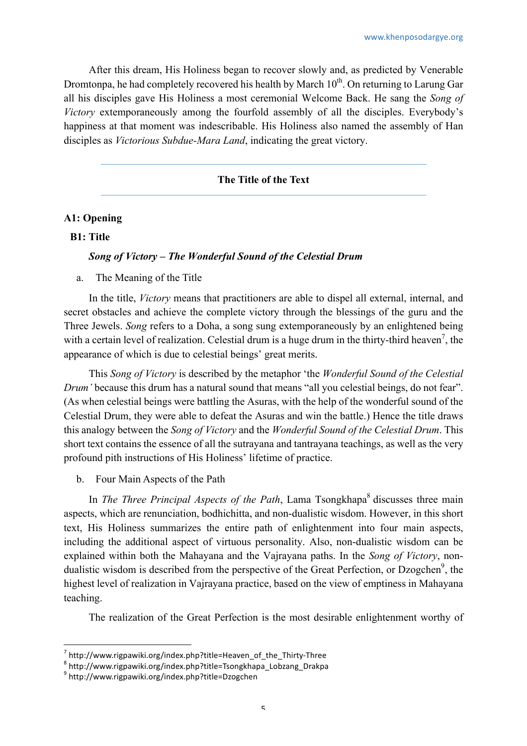After this dream, His Holiness began to recover slowly and, as predicted by Venerable Dromtonpa, he had completely recovered his health by March  $10<sup>th</sup>$ . On returning to Larung Gar all his disciples gave His Holiness a most ceremonial Welcome Back. He sang the *Song of Victory* extemporaneously among the fourfold assembly of all the disciples. Everybody's happiness at that moment was indescribable. His Holiness also named the assembly of Han disciples as *Victorious Subdue-Mara Land*, indicating the great victory.

# **The Title of the Text**

# **A1: Opening**

## **B1: Title**

### *Song of Victory – The Wonderful Sound of the Celestial Drum*

a. The Meaning of the Title

In the title, *Victory* means that practitioners are able to dispel all external, internal, and secret obstacles and achieve the complete victory through the blessings of the guru and the Three Jewels. *Song* refers to a Doha, a song sung extemporaneously by an enlightened being with a certain level of realization. Celestial drum is a huge drum in the thirty-third heaven<sup>7</sup>, the appearance of which is due to celestial beings' great merits.

This *Song of Victory* is described by the metaphor 'the *Wonderful Sound of the Celestial Drum'* because this drum has a natural sound that means "all you celestial beings, do not fear". (As when celestial beings were battling the Asuras, with the help of the wonderful sound of the Celestial Drum, they were able to defeat the Asuras and win the battle.) Hence the title draws this analogy between the *Song of Victory* and the *Wonderful Sound of the Celestial Drum*. This short text contains the essence of all the sutrayana and tantrayana teachings, as well as the very profound pith instructions of His Holiness' lifetime of practice.

b. Four Main Aspects of the Path

In *The Three Principal Aspects of the Path*, Lama Tsongkhapa<sup>8</sup> discusses three main aspects, which are renunciation, bodhichitta, and non-dualistic wisdom. However, in this short text, His Holiness summarizes the entire path of enlightenment into four main aspects, including the additional aspect of virtuous personality. Also, non-dualistic wisdom can be explained within both the Mahayana and the Vajrayana paths. In the *Song of Victory*, nondualistic wisdom is described from the perspective of the Great Perfection, or Dzogchen<sup>9</sup>, the highest level of realization in Vajrayana practice, based on the view of emptiness in Mahayana teaching.

The realization of the Great Perfection is the most desirable enlightenment worthy of

 $7$  http://www.rigpawiki.org/index.php?title=Heaven\_of\_the\_Thirty-Three 8 http://www.rigpawiki.org/index.php?title=Tsongkhapa\_Lobzang\_Drakpa 9 http://www.rigpawiki.org/index.php?title=Dzogchen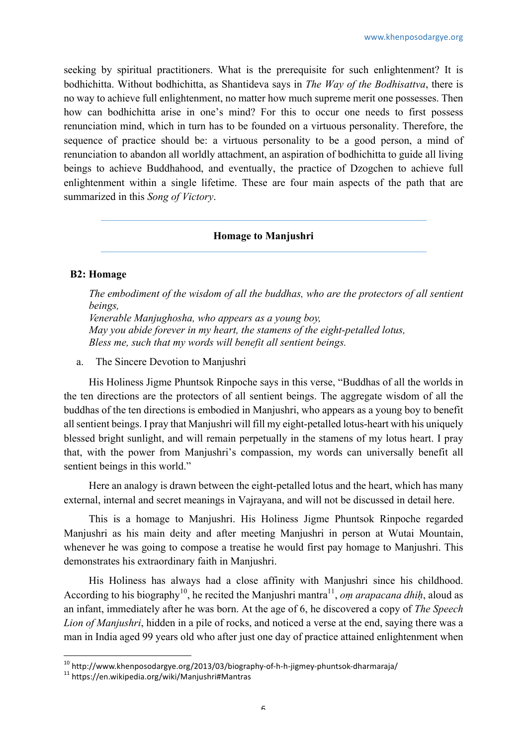seeking by spiritual practitioners. What is the prerequisite for such enlightenment? It is bodhichitta. Without bodhichitta, as Shantideva says in *The Way of the Bodhisattva*, there is no way to achieve full enlightenment, no matter how much supreme merit one possesses. Then how can bodhichitta arise in one's mind? For this to occur one needs to first possess renunciation mind, which in turn has to be founded on a virtuous personality. Therefore, the sequence of practice should be: a virtuous personality to be a good person, a mind of renunciation to abandon all worldly attachment, an aspiration of bodhichitta to guide all living beings to achieve Buddhahood, and eventually, the practice of Dzogchen to achieve full enlightenment within a single lifetime. These are four main aspects of the path that are summarized in this *Song of Victory*.

# **Homage to Manjushri**

# **B2: Homage**

*The embodiment of the wisdom of all the buddhas, who are the protectors of all sentient beings,*

*Venerable Manjughosha, who appears as a young boy, May you abide forever in my heart, the stamens of the eight-petalled lotus, Bless me, such that my words will benefit all sentient beings.*

a. The Sincere Devotion to Manjushri

His Holiness Jigme Phuntsok Rinpoche says in this verse, "Buddhas of all the worlds in the ten directions are the protectors of all sentient beings. The aggregate wisdom of all the buddhas of the ten directions is embodied in Manjushri, who appears as a young boy to benefit all sentient beings. I pray that Manjushri will fill my eight-petalled lotus-heart with his uniquely blessed bright sunlight, and will remain perpetually in the stamens of my lotus heart. I pray that, with the power from Manjushri's compassion, my words can universally benefit all sentient beings in this world."

Here an analogy is drawn between the eight-petalled lotus and the heart, which has many external, internal and secret meanings in Vajrayana, and will not be discussed in detail here.

This is a homage to Manjushri. His Holiness Jigme Phuntsok Rinpoche regarded Manjushri as his main deity and after meeting Manjushri in person at Wutai Mountain, whenever he was going to compose a treatise he would first pay homage to Manjushri. This demonstrates his extraordinary faith in Manjushri.

His Holiness has always had a close affinity with Manjushri since his childhood. According to his biography<sup>10</sup>, he recited the Manjushri mantra<sup>11</sup>, *om arapacana dhih*, aloud as an infant, immediately after he was born. At the age of 6, he discovered a copy of *The Speech Lion of Manjushri*, hidden in a pile of rocks, and noticed a verse at the end, saying there was a man in India aged 99 years old who after just one day of practice attained enlightenment when

<sup>&</sup>lt;sup>10</sup> http://www.khenposodargye.org/2013/03/biography-of-h-h-jigmey-phuntsok-dharmaraja/<br><sup>11</sup> https://en.wikipedia.org/wiki/Manjushri#Mantras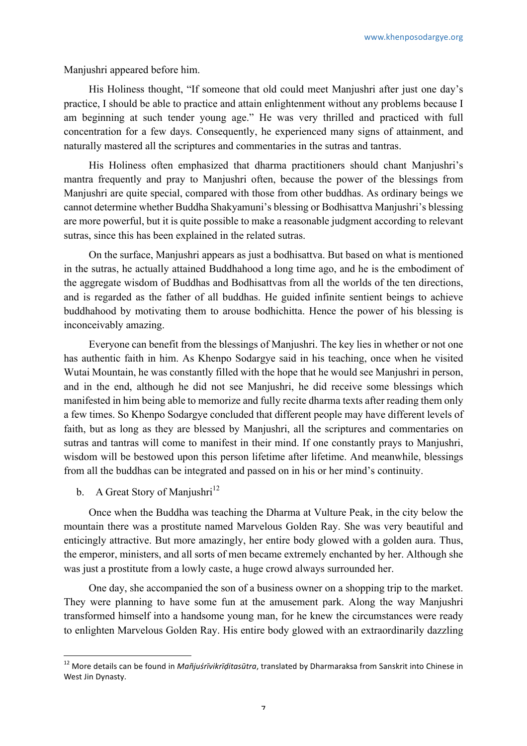Manjushri appeared before him.

His Holiness thought, "If someone that old could meet Manjushri after just one day's practice, I should be able to practice and attain enlightenment without any problems because I am beginning at such tender young age." He was very thrilled and practiced with full concentration for a few days. Consequently, he experienced many signs of attainment, and naturally mastered all the scriptures and commentaries in the sutras and tantras.

His Holiness often emphasized that dharma practitioners should chant Manjushri's mantra frequently and pray to Manjushri often, because the power of the blessings from Manjushri are quite special, compared with those from other buddhas. As ordinary beings we cannot determine whether Buddha Shakyamuni's blessing or Bodhisattva Manjushri's blessing are more powerful, but it is quite possible to make a reasonable judgment according to relevant sutras, since this has been explained in the related sutras.

On the surface, Manjushri appears as just a bodhisattva. But based on what is mentioned in the sutras, he actually attained Buddhahood a long time ago, and he is the embodiment of the aggregate wisdom of Buddhas and Bodhisattvas from all the worlds of the ten directions, and is regarded as the father of all buddhas. He guided infinite sentient beings to achieve buddhahood by motivating them to arouse bodhichitta. Hence the power of his blessing is inconceivably amazing.

Everyone can benefit from the blessings of Manjushri. The key lies in whether or not one has authentic faith in him. As Khenpo Sodargye said in his teaching, once when he visited Wutai Mountain, he was constantly filled with the hope that he would see Manjushri in person, and in the end, although he did not see Manjushri, he did receive some blessings which manifested in him being able to memorize and fully recite dharma texts after reading them only a few times. So Khenpo Sodargye concluded that different people may have different levels of faith, but as long as they are blessed by Manjushri, all the scriptures and commentaries on sutras and tantras will come to manifest in their mind. If one constantly prays to Manjushri, wisdom will be bestowed upon this person lifetime after lifetime. And meanwhile, blessings from all the buddhas can be integrated and passed on in his or her mind's continuity.

b. A Great Story of Manjushri<sup>12</sup>

 

Once when the Buddha was teaching the Dharma at Vulture Peak, in the city below the mountain there was a prostitute named Marvelous Golden Ray. She was very beautiful and enticingly attractive. But more amazingly, her entire body glowed with a golden aura. Thus, the emperor, ministers, and all sorts of men became extremely enchanted by her. Although she was just a prostitute from a lowly caste, a huge crowd always surrounded her.

One day, she accompanied the son of a business owner on a shopping trip to the market. They were planning to have some fun at the amusement park. Along the way Manjushri transformed himself into a handsome young man, for he knew the circumstances were ready to enlighten Marvelous Golden Ray. His entire body glowed with an extraordinarily dazzling

<sup>&</sup>lt;sup>12</sup> More details can be found in *Mañjuśrīvikrīḍitasūtra,* translated by Dharmaraksa from Sanskrit into Chinese in West Jin Dynasty.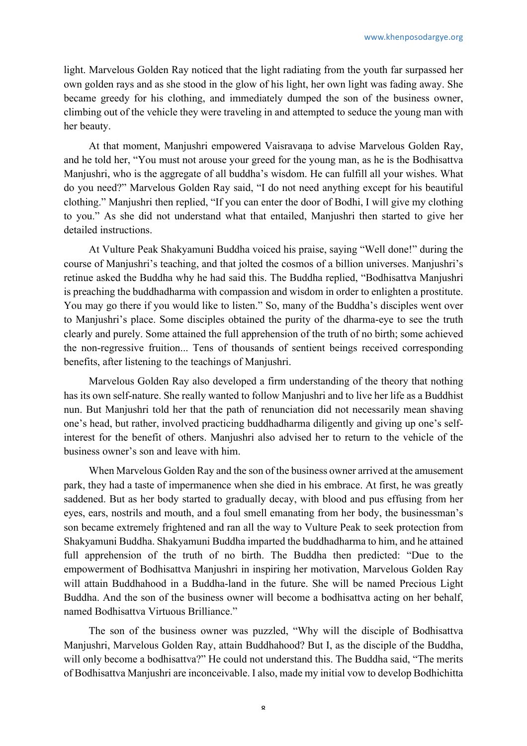light. Marvelous Golden Ray noticed that the light radiating from the youth far surpassed her own golden rays and as she stood in the glow of his light, her own light was fading away. She became greedy for his clothing, and immediately dumped the son of the business owner, climbing out of the vehicle they were traveling in and attempted to seduce the young man with her beauty.

At that moment, Manjushri empowered Vaisravana to advise Marvelous Golden Ray, and he told her, "You must not arouse your greed for the young man, as he is the Bodhisattva Manjushri, who is the aggregate of all buddha's wisdom. He can fulfill all your wishes. What do you need?" Marvelous Golden Ray said, "I do not need anything except for his beautiful clothing." Manjushri then replied, "If you can enter the door of Bodhi, I will give my clothing to you." As she did not understand what that entailed, Manjushri then started to give her detailed instructions.

At Vulture Peak Shakyamuni Buddha voiced his praise, saying "Well done!" during the course of Manjushri's teaching, and that jolted the cosmos of a billion universes. Manjushri's retinue asked the Buddha why he had said this. The Buddha replied, "Bodhisattva Manjushri is preaching the buddhadharma with compassion and wisdom in order to enlighten a prostitute. You may go there if you would like to listen." So, many of the Buddha's disciples went over to Manjushri's place. Some disciples obtained the purity of the dharma-eye to see the truth clearly and purely. Some attained the full apprehension of the truth of no birth; some achieved the non-regressive fruition... Tens of thousands of sentient beings received corresponding benefits, after listening to the teachings of Manjushri.

Marvelous Golden Ray also developed a firm understanding of the theory that nothing has its own self-nature. She really wanted to follow Manjushri and to live her life as a Buddhist nun. But Manjushri told her that the path of renunciation did not necessarily mean shaving one's head, but rather, involved practicing buddhadharma diligently and giving up one's selfinterest for the benefit of others. Manjushri also advised her to return to the vehicle of the business owner's son and leave with him.

When Marvelous Golden Ray and the son of the business owner arrived at the amusement park, they had a taste of impermanence when she died in his embrace. At first, he was greatly saddened. But as her body started to gradually decay, with blood and pus effusing from her eyes, ears, nostrils and mouth, and a foul smell emanating from her body, the businessman's son became extremely frightened and ran all the way to Vulture Peak to seek protection from Shakyamuni Buddha. Shakyamuni Buddha imparted the buddhadharma to him, and he attained full apprehension of the truth of no birth. The Buddha then predicted: "Due to the empowerment of Bodhisattva Manjushri in inspiring her motivation, Marvelous Golden Ray will attain Buddhahood in a Buddha-land in the future. She will be named Precious Light Buddha. And the son of the business owner will become a bodhisattva acting on her behalf, named Bodhisattva Virtuous Brilliance."

The son of the business owner was puzzled, "Why will the disciple of Bodhisattva Manjushri, Marvelous Golden Ray, attain Buddhahood? But I, as the disciple of the Buddha, will only become a bodhisattva?" He could not understand this. The Buddha said, "The merits" of Bodhisattva Manjushri are inconceivable. I also, made my initial vow to develop Bodhichitta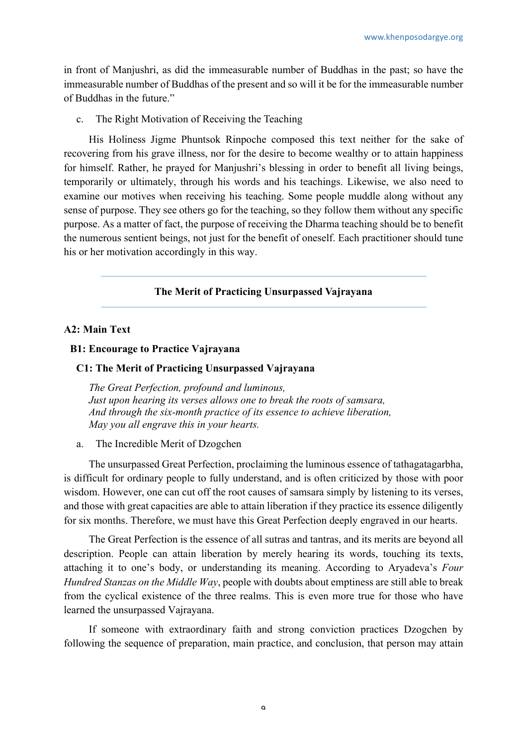in front of Manjushri, as did the immeasurable number of Buddhas in the past; so have the immeasurable number of Buddhas of the present and so will it be for the immeasurable number of Buddhas in the future."

c. The Right Motivation of Receiving the Teaching

His Holiness Jigme Phuntsok Rinpoche composed this text neither for the sake of recovering from his grave illness, nor for the desire to become wealthy or to attain happiness for himself. Rather, he prayed for Manjushri's blessing in order to benefit all living beings, temporarily or ultimately, through his words and his teachings. Likewise, we also need to examine our motives when receiving his teaching. Some people muddle along without any sense of purpose. They see others go for the teaching, so they follow them without any specific purpose. As a matter of fact, the purpose of receiving the Dharma teaching should be to benefit the numerous sentient beings, not just for the benefit of oneself. Each practitioner should tune his or her motivation accordingly in this way.

# **The Merit of Practicing Unsurpassed Vajrayana**

# **A2: Main Text**

#### **B1: Encourage to Practice Vajrayana**

## **C1: The Merit of Practicing Unsurpassed Vajrayana**

*The Great Perfection, profound and luminous, Just upon hearing its verses allows one to break the roots of samsara, And through the six-month practice of its essence to achieve liberation, May you all engrave this in your hearts.*

a. The Incredible Merit of Dzogchen

The unsurpassed Great Perfection, proclaiming the luminous essence of tathagatagarbha, is difficult for ordinary people to fully understand, and is often criticized by those with poor wisdom. However, one can cut off the root causes of samsara simply by listening to its verses, and those with great capacities are able to attain liberation if they practice its essence diligently for six months. Therefore, we must have this Great Perfection deeply engraved in our hearts.

The Great Perfection is the essence of all sutras and tantras, and its merits are beyond all description. People can attain liberation by merely hearing its words, touching its texts, attaching it to one's body, or understanding its meaning. According to Aryadeva's *Four Hundred Stanzas on the Middle Way*, people with doubts about emptiness are still able to break from the cyclical existence of the three realms. This is even more true for those who have learned the unsurpassed Vajrayana.

If someone with extraordinary faith and strong conviction practices Dzogchen by following the sequence of preparation, main practice, and conclusion, that person may attain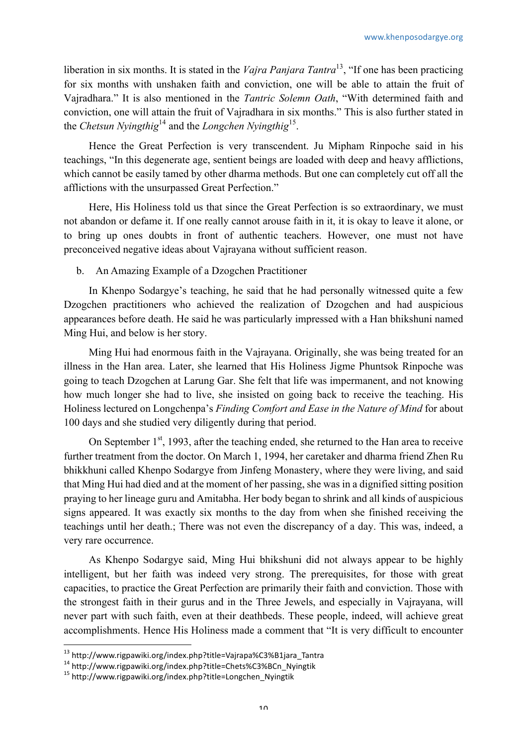liberation in six months. It is stated in the *Vajra Panjara Tantra*13, "If one has been practicing for six months with unshaken faith and conviction, one will be able to attain the fruit of Vajradhara." It is also mentioned in the *Tantric Solemn Oath*, "With determined faith and conviction, one will attain the fruit of Vajradhara in six months." This is also further stated in the *Chetsun Nyingthig*<sup>14</sup> and the *Longchen Nyingthig*15.

Hence the Great Perfection is very transcendent. Ju Mipham Rinpoche said in his teachings, "In this degenerate age, sentient beings are loaded with deep and heavy afflictions, which cannot be easily tamed by other dharma methods. But one can completely cut off all the afflictions with the unsurpassed Great Perfection."

Here, His Holiness told us that since the Great Perfection is so extraordinary, we must not abandon or defame it. If one really cannot arouse faith in it, it is okay to leave it alone, or to bring up ones doubts in front of authentic teachers. However, one must not have preconceived negative ideas about Vajrayana without sufficient reason.

# b. An Amazing Example of a Dzogchen Practitioner

In Khenpo Sodargye's teaching, he said that he had personally witnessed quite a few Dzogchen practitioners who achieved the realization of Dzogchen and had auspicious appearances before death. He said he was particularly impressed with a Han bhikshuni named Ming Hui, and below is her story.

Ming Hui had enormous faith in the Vajrayana. Originally, she was being treated for an illness in the Han area. Later, she learned that His Holiness Jigme Phuntsok Rinpoche was going to teach Dzogchen at Larung Gar. She felt that life was impermanent, and not knowing how much longer she had to live, she insisted on going back to receive the teaching. His Holiness lectured on Longchenpa's *Finding Comfort and Ease in the Nature of Mind* for about 100 days and she studied very diligently during that period.

On September  $1<sup>st</sup>$ , 1993, after the teaching ended, she returned to the Han area to receive further treatment from the doctor. On March 1, 1994, her caretaker and dharma friend Zhen Ru bhikkhuni called Khenpo Sodargye from Jinfeng Monastery, where they were living, and said that Ming Hui had died and at the moment of her passing, she was in a dignified sitting position praying to her lineage guru and Amitabha. Her body began to shrink and all kinds of auspicious signs appeared. It was exactly six months to the day from when she finished receiving the teachings until her death.; There was not even the discrepancy of a day. This was, indeed, a very rare occurrence.

As Khenpo Sodargye said, Ming Hui bhikshuni did not always appear to be highly intelligent, but her faith was indeed very strong. The prerequisites, for those with great capacities, to practice the Great Perfection are primarily their faith and conviction. Those with the strongest faith in their gurus and in the Three Jewels, and especially in Vajrayana, will never part with such faith, even at their deathbeds. These people, indeed, will achieve great accomplishments. Hence His Holiness made a comment that "It is very difficult to encounter

<sup>&</sup>lt;sup>13</sup> http://www.rigpawiki.org/index.php?title=Vajrapa%C3%B1jara\_Tantra

<sup>14</sup> http://www.rigpawiki.org/index.php?title=Chets%C3%BCn\_Nyingtik<br><sup>14</sup> http://www.rigpawiki.org/index.php?title=Chets%C3%BCn\_Nyingtik <sup>15</sup> http://www.rigpawiki.org/index.php?title=Longchen\_Nyingtik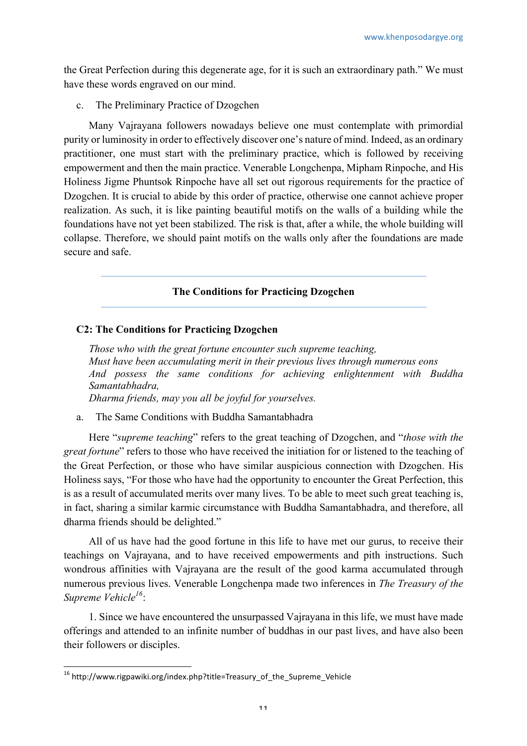the Great Perfection during this degenerate age, for it is such an extraordinary path." We must have these words engraved on our mind.

c. The Preliminary Practice of Dzogchen

Many Vajrayana followers nowadays believe one must contemplate with primordial purity or luminosity in order to effectively discover one's nature of mind. Indeed, as an ordinary practitioner, one must start with the preliminary practice, which is followed by receiving empowerment and then the main practice. Venerable Longchenpa, Mipham Rinpoche, and His Holiness Jigme Phuntsok Rinpoche have all set out rigorous requirements for the practice of Dzogchen. It is crucial to abide by this order of practice, otherwise one cannot achieve proper realization. As such, it is like painting beautiful motifs on the walls of a building while the foundations have not yet been stabilized. The risk is that, after a while, the whole building will collapse. Therefore, we should paint motifs on the walls only after the foundations are made secure and safe.

# **The Conditions for Practicing Dzogchen**

# **C2: The Conditions for Practicing Dzogchen**

*Those who with the great fortune encounter such supreme teaching, Must have been accumulating merit in their previous lives through numerous eons And possess the same conditions for achieving enlightenment with Buddha Samantabhadra, Dharma friends, may you all be joyful for yourselves.*

a. The Same Conditions with Buddha Samantabhadra

Here "*supreme teaching*" refers to the great teaching of Dzogchen, and "*those with the great fortune*" refers to those who have received the initiation for or listened to the teaching of the Great Perfection, or those who have similar auspicious connection with Dzogchen. His Holiness says, "For those who have had the opportunity to encounter the Great Perfection, this is as a result of accumulated merits over many lives. To be able to meet such great teaching is, in fact, sharing a similar karmic circumstance with Buddha Samantabhadra, and therefore, all dharma friends should be delighted."

All of us have had the good fortune in this life to have met our gurus, to receive their teachings on Vajrayana, and to have received empowerments and pith instructions. Such wondrous affinities with Vajrayana are the result of the good karma accumulated through numerous previous lives. Venerable Longchenpa made two inferences in *The Treasury of the Supreme Vehicle16*:

1. Since we have encountered the unsurpassed Vajrayana in this life, we must have made offerings and attended to an infinite number of buddhas in our past lives, and have also been their followers or disciples.

<sup>&</sup>lt;sup>16</sup> http://www.rigpawiki.org/index.php?title=Treasury\_of\_the\_Supreme\_Vehicle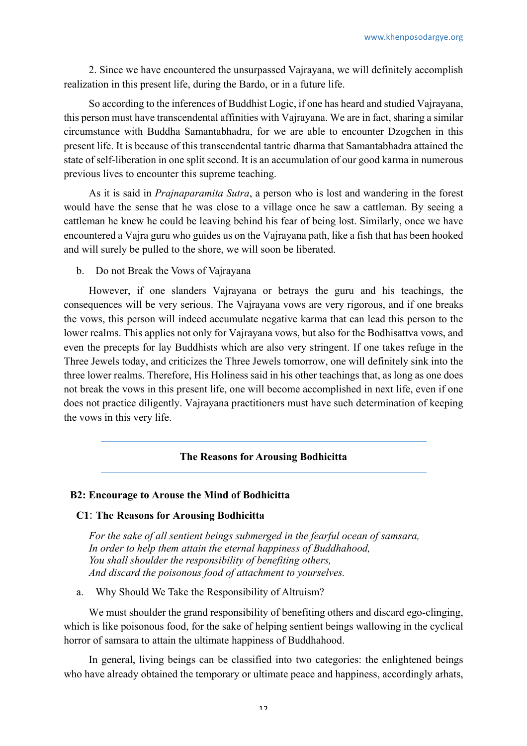2. Since we have encountered the unsurpassed Vajrayana, we will definitely accomplish realization in this present life, during the Bardo, or in a future life.

So according to the inferences of Buddhist Logic, if one has heard and studied Vajrayana, this person must have transcendental affinities with Vajrayana. We are in fact, sharing a similar circumstance with Buddha Samantabhadra, for we are able to encounter Dzogchen in this present life. It is because of this transcendental tantric dharma that Samantabhadra attained the state of self-liberation in one split second. It is an accumulation of our good karma in numerous previous lives to encounter this supreme teaching.

As it is said in *Prajnaparamita Sutra*, a person who is lost and wandering in the forest would have the sense that he was close to a village once he saw a cattleman. By seeing a cattleman he knew he could be leaving behind his fear of being lost. Similarly, once we have encountered a Vajra guru who guides us on the Vajrayana path, like a fish that has been hooked and will surely be pulled to the shore, we will soon be liberated.

b. Do not Break the Vows of Vajrayana

However, if one slanders Vajrayana or betrays the guru and his teachings, the consequences will be very serious. The Vajrayana vows are very rigorous, and if one breaks the vows, this person will indeed accumulate negative karma that can lead this person to the lower realms. This applies not only for Vajrayana vows, but also for the Bodhisattva vows, and even the precepts for lay Buddhists which are also very stringent. If one takes refuge in the Three Jewels today, and criticizes the Three Jewels tomorrow, one will definitely sink into the three lower realms. Therefore, His Holiness said in his other teachings that, as long as one does not break the vows in this present life, one will become accomplished in next life, even if one does not practice diligently. Vajrayana practitioners must have such determination of keeping the vows in this very life.

# **The Reasons for Arousing Bodhicitta**

#### **B2: Encourage to Arouse the Mind of Bodhicitta**

## **C1**: **The Reasons for Arousing Bodhicitta**

*For the sake of all sentient beings submerged in the fearful ocean of samsara, In order to help them attain the eternal happiness of Buddhahood, You shall shoulder the responsibility of benefiting others, And discard the poisonous food of attachment to yourselves.*

a. Why Should We Take the Responsibility of Altruism?

We must shoulder the grand responsibility of benefiting others and discard ego-clinging, which is like poisonous food, for the sake of helping sentient beings wallowing in the cyclical horror of samsara to attain the ultimate happiness of Buddhahood.

In general, living beings can be classified into two categories: the enlightened beings who have already obtained the temporary or ultimate peace and happiness, accordingly arhats,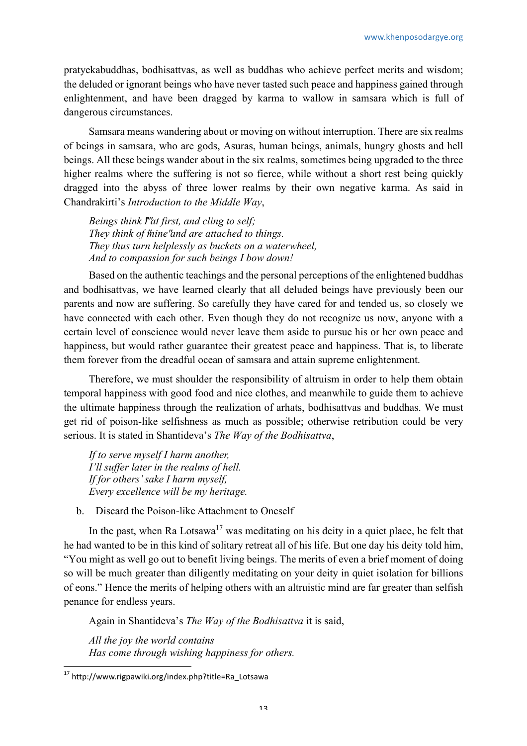pratyekabuddhas, bodhisattvas, as well as buddhas who achieve perfect merits and wisdom; the deluded or ignorant beings who have never tasted such peace and happiness gained through enlightenment, and have been dragged by karma to wallow in samsara which is full of dangerous circumstances.

Samsara means wandering about or moving on without interruption. There are six realms of beings in samsara, who are gods, Asuras, human beings, animals, hungry ghosts and hell beings. All these beings wander about in the six realms, sometimes being upgraded to the three higher realms where the suffering is not so fierce, while without a short rest being quickly dragged into the abyss of three lower realms by their own negative karma. As said in Chandrakirti's *Introduction to the Middle Way*,

*Beings think I" at first, and cling to self; They think of thine" and are attached to things. They thus turn helplessly as buckets on a waterwheel, And to compassion for such beings I bow down!*

Based on the authentic teachings and the personal perceptions of the enlightened buddhas and bodhisattvas, we have learned clearly that all deluded beings have previously been our parents and now are suffering. So carefully they have cared for and tended us, so closely we have connected with each other. Even though they do not recognize us now, anyone with a certain level of conscience would never leave them aside to pursue his or her own peace and happiness, but would rather guarantee their greatest peace and happiness. That is, to liberate them forever from the dreadful ocean of samsara and attain supreme enlightenment.

Therefore, we must shoulder the responsibility of altruism in order to help them obtain temporal happiness with good food and nice clothes, and meanwhile to guide them to achieve the ultimate happiness through the realization of arhats, bodhisattvas and buddhas. We must get rid of poison-like selfishness as much as possible; otherwise retribution could be very serious. It is stated in Shantideva's *The Way of the Bodhisattva*,

*If to serve myself I harm another, I'll suffer later in the realms of hell. If for others' sake I harm myself, Every excellence will be my heritage.*

b. Discard the Poison-like Attachment to Oneself

In the past, when Ra Lotsawa<sup>17</sup> was meditating on his deity in a quiet place, he felt that he had wanted to be in this kind of solitary retreat all of his life. But one day his deity told him, "You might as well go out to benefit living beings. The merits of even a brief moment of doing so will be much greater than diligently meditating on your deity in quiet isolation for billions of eons." Hence the merits of helping others with an altruistic mind are far greater than selfish penance for endless years.

Again in Shantideva's *The Way of the Bodhisattva* it is said,

*All the joy the world contains Has come through wishing happiness for others.*

 <sup>17</sup> http://www.rigpawiki.org/index.php?title=Ra\_Lotsawa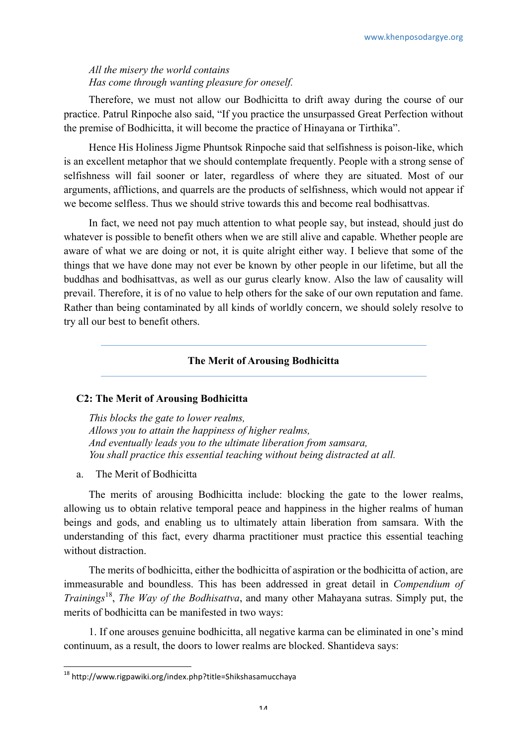# *All the misery the world contains Has come through wanting pleasure for oneself.*

Therefore, we must not allow our Bodhicitta to drift away during the course of our practice. Patrul Rinpoche also said, "If you practice the unsurpassed Great Perfection without the premise of Bodhicitta, it will become the practice of Hinayana or Tirthika".

Hence His Holiness Jigme Phuntsok Rinpoche said that selfishness is poison-like, which is an excellent metaphor that we should contemplate frequently. People with a strong sense of selfishness will fail sooner or later, regardless of where they are situated. Most of our arguments, afflictions, and quarrels are the products of selfishness, which would not appear if we become selfless. Thus we should strive towards this and become real bodhisattvas.

In fact, we need not pay much attention to what people say, but instead, should just do whatever is possible to benefit others when we are still alive and capable. Whether people are aware of what we are doing or not, it is quite alright either way. I believe that some of the things that we have done may not ever be known by other people in our lifetime, but all the buddhas and bodhisattvas, as well as our gurus clearly know. Also the law of causality will prevail. Therefore, it is of no value to help others for the sake of our own reputation and fame. Rather than being contaminated by all kinds of worldly concern, we should solely resolve to try all our best to benefit others.

# **The Merit of Arousing Bodhicitta**

# **C2: The Merit of Arousing Bodhicitta**

*This blocks the gate to lower realms, Allows you to attain the happiness of higher realms, And eventually leads you to the ultimate liberation from samsara, You shall practice this essential teaching without being distracted at all.*

a. The Merit of Bodhicitta

The merits of arousing Bodhicitta include: blocking the gate to the lower realms, allowing us to obtain relative temporal peace and happiness in the higher realms of human beings and gods, and enabling us to ultimately attain liberation from samsara. With the understanding of this fact, every dharma practitioner must practice this essential teaching without distraction.

The merits of bodhicitta, either the bodhicitta of aspiration or the bodhicitta of action, are immeasurable and boundless. This has been addressed in great detail in *Compendium of Trainings*18, *The Way of the Bodhisattva*, and many other Mahayana sutras. Simply put, the merits of bodhicitta can be manifested in two ways:

1. If one arouses genuine bodhicitta, all negative karma can be eliminated in one's mind continuum, as a result, the doors to lower realms are blocked. Shantideva says:

 <sup>18</sup> http://www.rigpawiki.org/index.php?title=Shikshasamucchaya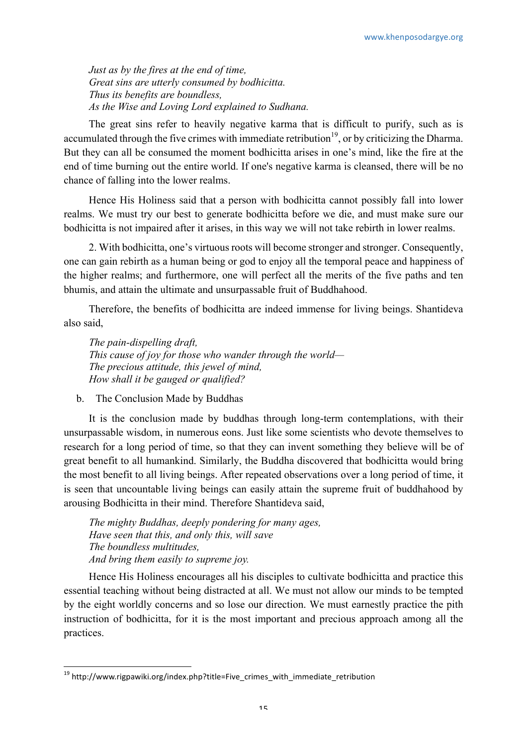*Just as by the fires at the end of time, Great sins are utterly consumed by bodhicitta. Thus its benefits are boundless, As the Wise and Loving Lord explained to Sudhana.*

The great sins refer to heavily negative karma that is difficult to purify, such as is accumulated through the five crimes with immediate retribution<sup>19</sup>, or by criticizing the Dharma. But they can all be consumed the moment bodhicitta arises in one's mind, like the fire at the end of time burning out the entire world. If one's negative karma is cleansed, there will be no chance of falling into the lower realms.

Hence His Holiness said that a person with bodhicitta cannot possibly fall into lower realms. We must try our best to generate bodhicitta before we die, and must make sure our bodhicitta is not impaired after it arises, in this way we will not take rebirth in lower realms.

2. With bodhicitta, one's virtuous roots will become stronger and stronger. Consequently, one can gain rebirth as a human being or god to enjoy all the temporal peace and happiness of the higher realms; and furthermore, one will perfect all the merits of the five paths and ten bhumis, and attain the ultimate and unsurpassable fruit of Buddhahood.

Therefore, the benefits of bodhicitta are indeed immense for living beings. Shantideva also said,

*The pain-dispelling draft, This cause of joy for those who wander through the world— The precious attitude, this jewel of mind, How shall it be gauged or qualified?*

b. The Conclusion Made by Buddhas

It is the conclusion made by buddhas through long-term contemplations, with their unsurpassable wisdom, in numerous eons. Just like some scientists who devote themselves to research for a long period of time, so that they can invent something they believe will be of great benefit to all humankind. Similarly, the Buddha discovered that bodhicitta would bring the most benefit to all living beings. After repeated observations over a long period of time, it is seen that uncountable living beings can easily attain the supreme fruit of buddhahood by arousing Bodhicitta in their mind. Therefore Shantideva said,

*The mighty Buddhas, deeply pondering for many ages, Have seen that this, and only this, will save The boundless multitudes, And bring them easily to supreme joy.*

Hence His Holiness encourages all his disciples to cultivate bodhicitta and practice this essential teaching without being distracted at all. We must not allow our minds to be tempted by the eight worldly concerns and so lose our direction. We must earnestly practice the pith instruction of bodhicitta, for it is the most important and precious approach among all the practices.

 $19$  http://www.rigpawiki.org/index.php?title=Five\_crimes\_with\_immediate\_retribution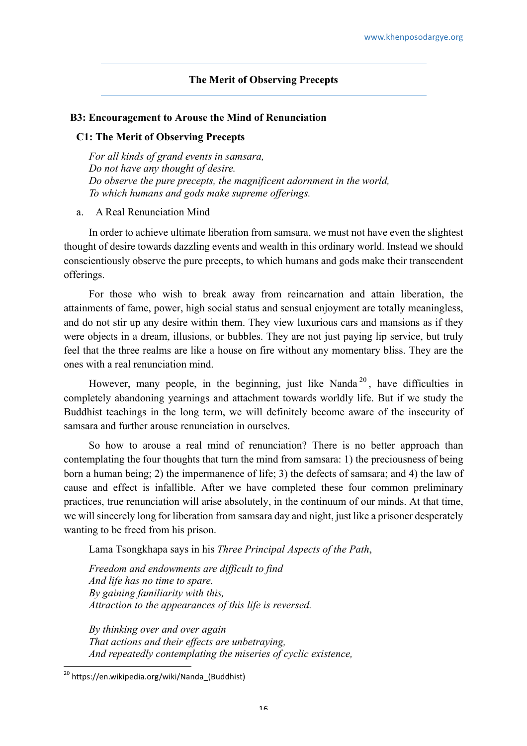# **The Merit of Observing Precepts**

## **B3: Encouragement to Arouse the Mind of Renunciation**

#### **C1: The Merit of Observing Precepts**

*For all kinds of grand events in samsara, Do not have any thought of desire. Do observe the pure precepts, the magnificent adornment in the world, To which humans and gods make supreme offerings.*

a. A Real Renunciation Mind

In order to achieve ultimate liberation from samsara, we must not have even the slightest thought of desire towards dazzling events and wealth in this ordinary world. Instead we should conscientiously observe the pure precepts, to which humans and gods make their transcendent offerings.

For those who wish to break away from reincarnation and attain liberation, the attainments of fame, power, high social status and sensual enjoyment are totally meaningless, and do not stir up any desire within them. They view luxurious cars and mansions as if they were objects in a dream, illusions, or bubbles. They are not just paying lip service, but truly feel that the three realms are like a house on fire without any momentary bliss. They are the ones with a real renunciation mind.

However, many people, in the beginning, just like Nanda<sup>20</sup>, have difficulties in completely abandoning yearnings and attachment towards worldly life. But if we study the Buddhist teachings in the long term, we will definitely become aware of the insecurity of samsara and further arouse renunciation in ourselves.

So how to arouse a real mind of renunciation? There is no better approach than contemplating the four thoughts that turn the mind from samsara: 1) the preciousness of being born a human being; 2) the impermanence of life; 3) the defects of samsara; and 4) the law of cause and effect is infallible. After we have completed these four common preliminary practices, true renunciation will arise absolutely, in the continuum of our minds. At that time, we will sincerely long for liberation from samsara day and night, just like a prisoner desperately wanting to be freed from his prison.

Lama Tsongkhapa says in his *Three Principal Aspects of the Path*,

*Freedom and endowments are difficult to find And life has no time to spare. By gaining familiarity with this, Attraction to the appearances of this life is reversed.*

*By thinking over and over again That actions and their effects are unbetraying, And repeatedly contemplating the miseries of cyclic existence,*

 <sup>20</sup> https://en.wikipedia.org/wiki/Nanda\_(Buddhist)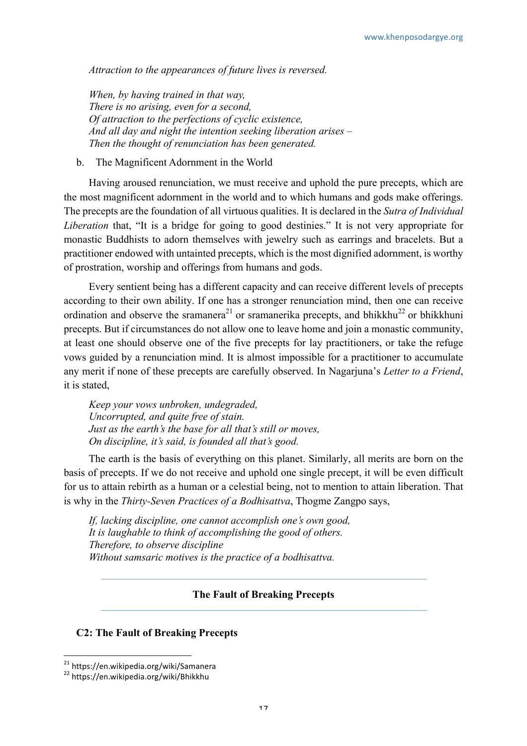*Attraction to the appearances of future lives is reversed.*

*When, by having trained in that way, There is no arising, even for a second, Of attraction to the perfections of cyclic existence, And all day and night the intention seeking liberation arises – Then the thought of renunciation has been generated.*

# b. The Magnificent Adornment in the World

Having aroused renunciation, we must receive and uphold the pure precepts, which are the most magnificent adornment in the world and to which humans and gods make offerings. The precepts are the foundation of all virtuous qualities. It is declared in the *Sutra of Individual Liberation* that, "It is a bridge for going to good destinies." It is not very appropriate for monastic Buddhists to adorn themselves with jewelry such as earrings and bracelets. But a practitioner endowed with untainted precepts, which is the most dignified adornment, is worthy of prostration, worship and offerings from humans and gods.

Every sentient being has a different capacity and can receive different levels of precepts according to their own ability. If one has a stronger renunciation mind, then one can receive ordination and observe the sramanera<sup>21</sup> or sramanerika precepts, and bhikkhu<sup>22</sup> or bhikkhuni precepts. But if circumstances do not allow one to leave home and join a monastic community, at least one should observe one of the five precepts for lay practitioners, or take the refuge vows guided by a renunciation mind. It is almost impossible for a practitioner to accumulate any merit if none of these precepts are carefully observed. In Nagarjuna's *Letter to a Friend*, it is stated,

*Keep your vows unbroken, undegraded, Uncorrupted, and quite free of stain. Just as the earth's the base for all that's still or moves, On discipline, it's said, is founded all that's good.*

The earth is the basis of everything on this planet. Similarly, all merits are born on the basis of precepts. If we do not receive and uphold one single precept, it will be even difficult for us to attain rebirth as a human or a celestial being, not to mention to attain liberation. That is why in the *Thirty-Seven Practices of a Bodhisattva*, Thogme Zangpo says,

*If, lacking discipline, one cannot accomplish one's own good, It is laughable to think of accomplishing the good of others. Therefore, to observe discipline Without samsaric motives is the practice of a bodhisattva.*

# **The Fault of Breaking Precepts**

# **C2: The Fault of Breaking Precepts**

<sup>&</sup>lt;sup>21</sup> https://en.wikipedia.org/wiki/Samanera<br><sup>22</sup> https://en.wikipedia.org/wiki/Bhikkhu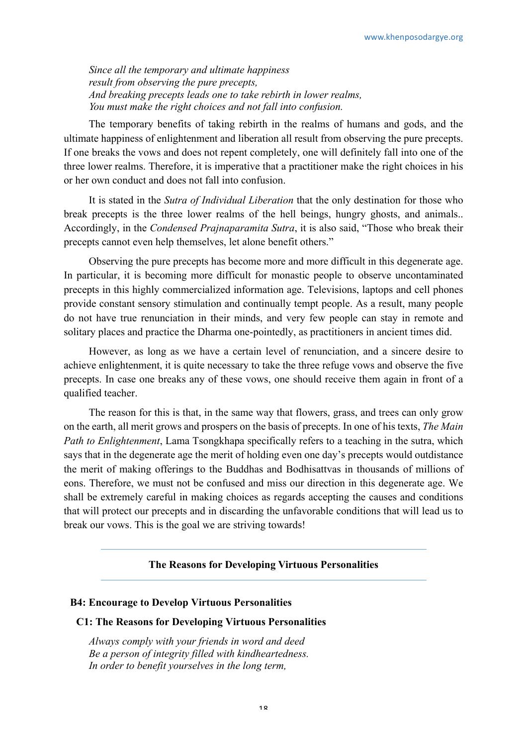*Since all the temporary and ultimate happiness result from observing the pure precepts, And breaking precepts leads one to take rebirth in lower realms, You must make the right choices and not fall into confusion.*

The temporary benefits of taking rebirth in the realms of humans and gods, and the ultimate happiness of enlightenment and liberation all result from observing the pure precepts. If one breaks the vows and does not repent completely, one will definitely fall into one of the three lower realms. Therefore, it is imperative that a practitioner make the right choices in his or her own conduct and does not fall into confusion.

It is stated in the *Sutra of Individual Liberation* that the only destination for those who break precepts is the three lower realms of the hell beings, hungry ghosts, and animals.. Accordingly, in the *Condensed Prajnaparamita Sutra*, it is also said, "Those who break their precepts cannot even help themselves, let alone benefit others."

Observing the pure precepts has become more and more difficult in this degenerate age. In particular, it is becoming more difficult for monastic people to observe uncontaminated precepts in this highly commercialized information age. Televisions, laptops and cell phones provide constant sensory stimulation and continually tempt people. As a result, many people do not have true renunciation in their minds, and very few people can stay in remote and solitary places and practice the Dharma one-pointedly, as practitioners in ancient times did.

However, as long as we have a certain level of renunciation, and a sincere desire to achieve enlightenment, it is quite necessary to take the three refuge vows and observe the five precepts. In case one breaks any of these vows, one should receive them again in front of a qualified teacher.

The reason for this is that, in the same way that flowers, grass, and trees can only grow on the earth, all merit grows and prospers on the basis of precepts. In one of his texts, *The Main Path to Enlightenment*, Lama Tsongkhapa specifically refers to a teaching in the sutra, which says that in the degenerate age the merit of holding even one day's precepts would outdistance the merit of making offerings to the Buddhas and Bodhisattvas in thousands of millions of eons. Therefore, we must not be confused and miss our direction in this degenerate age. We shall be extremely careful in making choices as regards accepting the causes and conditions that will protect our precepts and in discarding the unfavorable conditions that will lead us to break our vows. This is the goal we are striving towards!

# **The Reasons for Developing Virtuous Personalities**

#### **B4: Encourage to Develop Virtuous Personalities**

#### **C1: The Reasons for Developing Virtuous Personalities**

*Always comply with your friends in word and deed Be a person of integrity filled with kindheartedness. In order to benefit yourselves in the long term,*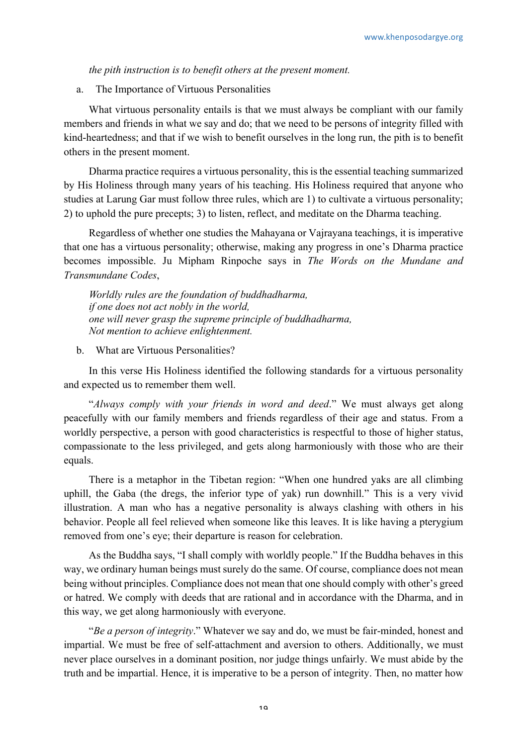*the pith instruction is to benefit others at the present moment.*

a. The Importance of Virtuous Personalities

What virtuous personality entails is that we must always be compliant with our family members and friends in what we say and do; that we need to be persons of integrity filled with kind-heartedness; and that if we wish to benefit ourselves in the long run, the pith is to benefit others in the present moment.

Dharma practice requires a virtuous personality, this is the essential teaching summarized by His Holiness through many years of his teaching. His Holiness required that anyone who studies at Larung Gar must follow three rules, which are 1) to cultivate a virtuous personality; 2) to uphold the pure precepts; 3) to listen, reflect, and meditate on the Dharma teaching.

Regardless of whether one studies the Mahayana or Vajrayana teachings, it is imperative that one has a virtuous personality; otherwise, making any progress in one's Dharma practice becomes impossible. Ju Mipham Rinpoche says in *The Words on the Mundane and Transmundane Codes*,

*Worldly rules are the foundation of buddhadharma, if one does not act nobly in the world, one will never grasp the supreme principle of buddhadharma, Not mention to achieve enlightenment.*

b. What are Virtuous Personalities?

In this verse His Holiness identified the following standards for a virtuous personality and expected us to remember them well.

"*Always comply with your friends in word and deed*." We must always get along peacefully with our family members and friends regardless of their age and status. From a worldly perspective, a person with good characteristics is respectful to those of higher status, compassionate to the less privileged, and gets along harmoniously with those who are their equals.

There is a metaphor in the Tibetan region: "When one hundred yaks are all climbing uphill, the Gaba (the dregs, the inferior type of yak) run downhill." This is a very vivid illustration. A man who has a negative personality is always clashing with others in his behavior. People all feel relieved when someone like this leaves. It is like having a pterygium removed from one's eye; their departure is reason for celebration.

As the Buddha says, "I shall comply with worldly people." If the Buddha behaves in this way, we ordinary human beings must surely do the same. Of course, compliance does not mean being without principles. Compliance does not mean that one should comply with other's greed or hatred. We comply with deeds that are rational and in accordance with the Dharma, and in this way, we get along harmoniously with everyone.

"*Be a person of integrity*." Whatever we say and do, we must be fair-minded, honest and impartial. We must be free of self-attachment and aversion to others. Additionally, we must never place ourselves in a dominant position, nor judge things unfairly. We must abide by the truth and be impartial. Hence, it is imperative to be a person of integrity. Then, no matter how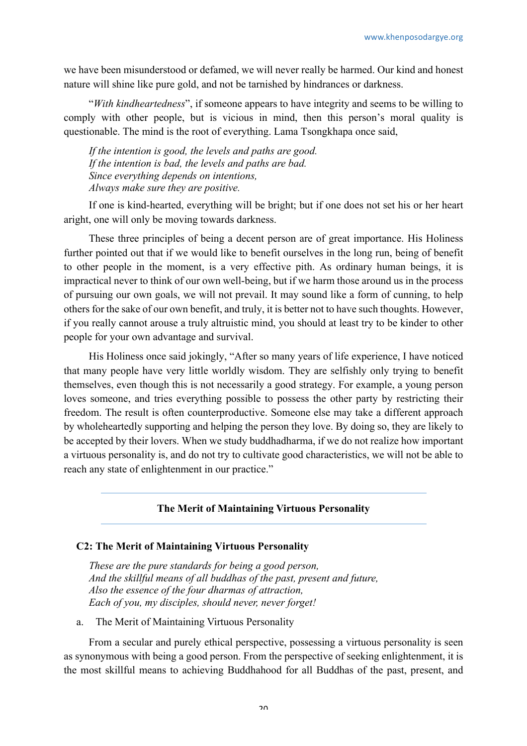we have been misunderstood or defamed, we will never really be harmed. Our kind and honest nature will shine like pure gold, and not be tarnished by hindrances or darkness.

"*With kindheartedness*", if someone appears to have integrity and seems to be willing to comply with other people, but is vicious in mind, then this person's moral quality is questionable. The mind is the root of everything. Lama Tsongkhapa once said,

*If the intention is good, the levels and paths are good. If the intention is bad, the levels and paths are bad. Since everything depends on intentions, Always make sure they are positive.*

If one is kind-hearted, everything will be bright; but if one does not set his or her heart aright, one will only be moving towards darkness.

These three principles of being a decent person are of great importance. His Holiness further pointed out that if we would like to benefit ourselves in the long run, being of benefit to other people in the moment, is a very effective pith. As ordinary human beings, it is impractical never to think of our own well-being, but if we harm those around us in the process of pursuing our own goals, we will not prevail. It may sound like a form of cunning, to help others for the sake of our own benefit, and truly, it is better not to have such thoughts. However, if you really cannot arouse a truly altruistic mind, you should at least try to be kinder to other people for your own advantage and survival.

His Holiness once said jokingly, "After so many years of life experience, I have noticed that many people have very little worldly wisdom. They are selfishly only trying to benefit themselves, even though this is not necessarily a good strategy. For example, a young person loves someone, and tries everything possible to possess the other party by restricting their freedom. The result is often counterproductive. Someone else may take a different approach by wholeheartedly supporting and helping the person they love. By doing so, they are likely to be accepted by their lovers. When we study buddhadharma, if we do not realize how important a virtuous personality is, and do not try to cultivate good characteristics, we will not be able to reach any state of enlightenment in our practice."

# **The Merit of Maintaining Virtuous Personality**

#### **C2: The Merit of Maintaining Virtuous Personality**

*These are the pure standards for being a good person, And the skillful means of all buddhas of the past, present and future, Also the essence of the four dharmas of attraction, Each of you, my disciples, should never, never forget!*

a. The Merit of Maintaining Virtuous Personality

From a secular and purely ethical perspective, possessing a virtuous personality is seen as synonymous with being a good person. From the perspective of seeking enlightenment, it is the most skillful means to achieving Buddhahood for all Buddhas of the past, present, and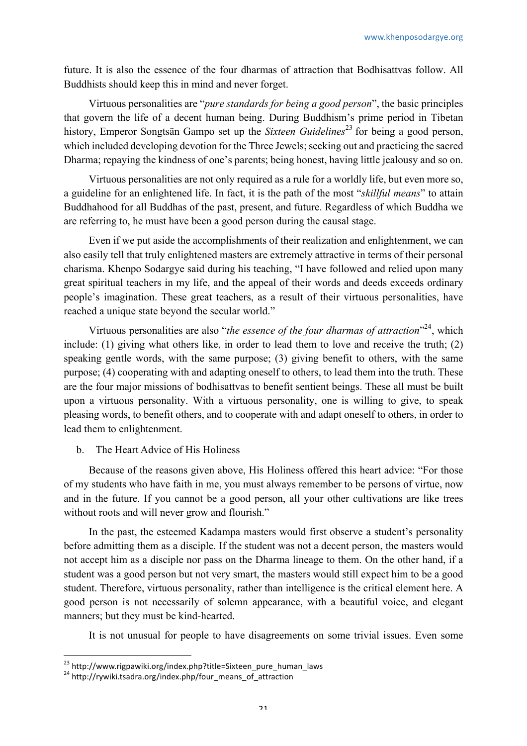future. It is also the essence of the four dharmas of attraction that Bodhisattvas follow. All Buddhists should keep this in mind and never forget.

Virtuous personalities are "*pure standards for being a good person*", the basic principles that govern the life of a decent human being. During Buddhism's prime period in Tibetan history, Emperor Songtsän Gampo set up the *Sixteen Guidelines*<sup>23</sup> for being a good person, which included developing devotion for the Three Jewels; seeking out and practicing the sacred Dharma; repaying the kindness of one's parents; being honest, having little jealousy and so on.

Virtuous personalities are not only required as a rule for a worldly life, but even more so, a guideline for an enlightened life. In fact, it is the path of the most "*skillful means*" to attain Buddhahood for all Buddhas of the past, present, and future. Regardless of which Buddha we are referring to, he must have been a good person during the causal stage.

Even if we put aside the accomplishments of their realization and enlightenment, we can also easily tell that truly enlightened masters are extremely attractive in terms of their personal charisma. Khenpo Sodargye said during his teaching, "I have followed and relied upon many great spiritual teachers in my life, and the appeal of their words and deeds exceeds ordinary people's imagination. These great teachers, as a result of their virtuous personalities, have reached a unique state beyond the secular world."

Virtuous personalities are also "*the essence of the four dharmas of attraction*"<sup>24</sup>, which include: (1) giving what others like, in order to lead them to love and receive the truth; (2) speaking gentle words, with the same purpose; (3) giving benefit to others, with the same purpose; (4) cooperating with and adapting oneself to others, to lead them into the truth. These are the four major missions of bodhisattvas to benefit sentient beings. These all must be built upon a virtuous personality. With a virtuous personality, one is willing to give, to speak pleasing words, to benefit others, and to cooperate with and adapt oneself to others, in order to lead them to enlightenment.

b. The Heart Advice of His Holiness

Because of the reasons given above, His Holiness offered this heart advice: "For those of my students who have faith in me, you must always remember to be persons of virtue, now and in the future. If you cannot be a good person, all your other cultivations are like trees without roots and will never grow and flourish."

In the past, the esteemed Kadampa masters would first observe a student's personality before admitting them as a disciple. If the student was not a decent person, the masters would not accept him as a disciple nor pass on the Dharma lineage to them. On the other hand, if a student was a good person but not very smart, the masters would still expect him to be a good student. Therefore, virtuous personality, rather than intelligence is the critical element here. A good person is not necessarily of solemn appearance, with a beautiful voice, and elegant manners; but they must be kind-hearted.

It is not unusual for people to have disagreements on some trivial issues. Even some

<sup>&</sup>lt;sup>23</sup> http://www.rigpawiki.org/index.php?title=Sixteen\_pure\_human\_laws<br><sup>24</sup> http://rywiki.tsadra.org/index.php/four\_means\_of\_attraction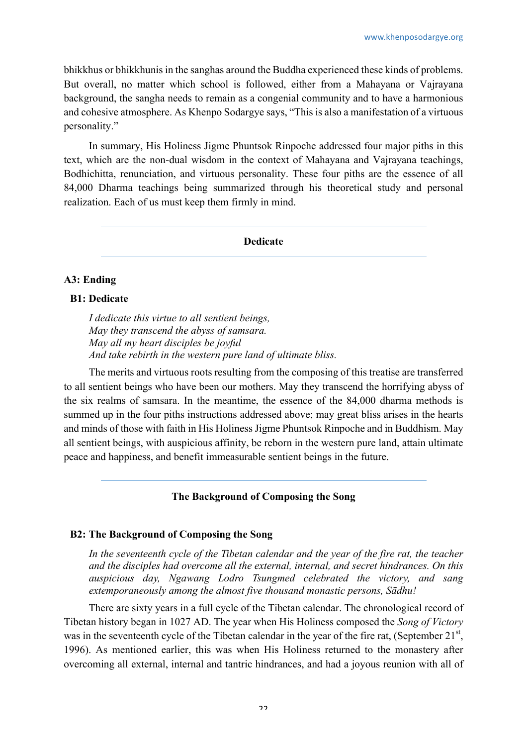bhikkhus or bhikkhunis in the sanghas around the Buddha experienced these kinds of problems. But overall, no matter which school is followed, either from a Mahayana or Vajrayana background, the sangha needs to remain as a congenial community and to have a harmonious and cohesive atmosphere. As Khenpo Sodargye says, "This is also a manifestation of a virtuous personality."

In summary, His Holiness Jigme Phuntsok Rinpoche addressed four major piths in this text, which are the non-dual wisdom in the context of Mahayana and Vajrayana teachings, Bodhichitta, renunciation, and virtuous personality. These four piths are the essence of all 84,000 Dharma teachings being summarized through his theoretical study and personal realization. Each of us must keep them firmly in mind.

#### **Dedicate**

# **A3: Ending**

# **B1: Dedicate**

*I dedicate this virtue to all sentient beings, May they transcend the abyss of samsara. May all my heart disciples be joyful And take rebirth in the western pure land of ultimate bliss.*

The merits and virtuous roots resulting from the composing of this treatise are transferred to all sentient beings who have been our mothers. May they transcend the horrifying abyss of the six realms of samsara. In the meantime, the essence of the 84,000 dharma methods is summed up in the four piths instructions addressed above; may great bliss arises in the hearts and minds of those with faith in His Holiness Jigme Phuntsok Rinpoche and in Buddhism. May all sentient beings, with auspicious affinity, be reborn in the western pure land, attain ultimate peace and happiness, and benefit immeasurable sentient beings in the future.

# **The Background of Composing the Song**

# **B2: The Background of Composing the Song**

In the seventeenth cycle of the Tibetan calendar and the year of the fire rat, the teacher *and the disciples had overcome all the external, internal, and secret hindrances. On this auspicious day, Ngawang Lodro Tsungmed celebrated the victory, and sang extemporaneously among the almost five thousand monastic persons, Sādhu!*

There are sixty years in a full cycle of the Tibetan calendar. The chronological record of Tibetan history began in 1027 AD. The year when His Holiness composed the *Song of Victory* was in the seventeenth cycle of the Tibetan calendar in the year of the fire rat, (September  $21<sup>st</sup>$ , 1996). As mentioned earlier, this was when His Holiness returned to the monastery after overcoming all external, internal and tantric hindrances, and had a joyous reunion with all of